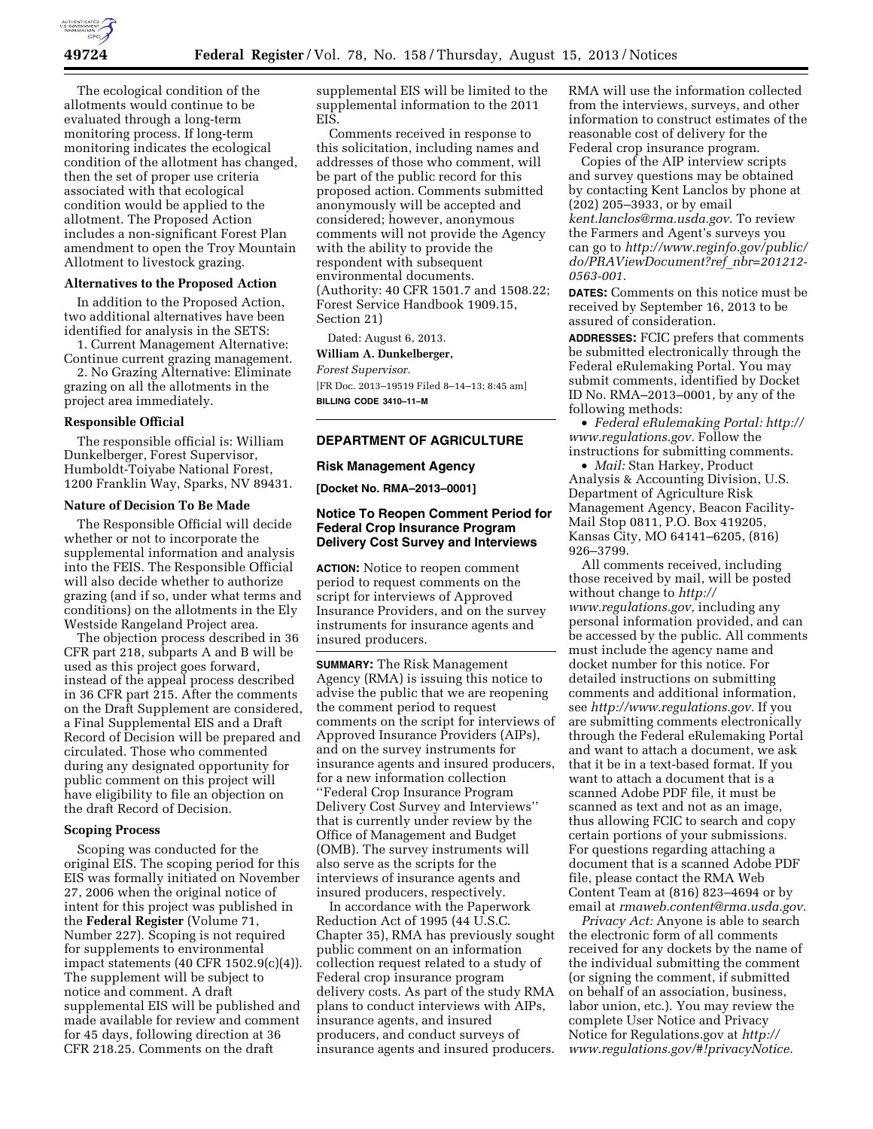

The ecological condition of the allotments would continue to be evaluated through a long-term monitoring process. If long-term monitoring indicates the ecological condition of the allotment has changed, then the set of proper use criteria associated with that ecological condition would be applied to the allotment. The Proposed Action includes a non-significant Forest Plan amendment to open the Troy Mountain Allotment to livestock grazing.

### **Alternatives to the Proposed Action**

In addition to the Proposed Action, two additional alternatives have been identified for analysis in the SETS:

1. Current Management Alternative: Continue current grazing management. 2. No Grazing Alternative: Eliminate

grazing on all the allotments in the project area immediately.

### **Responsible Official**

The responsible official is: William Dunkelberger, Forest Supervisor, Humboldt-Toiyabe National Forest, 1200 Franklin Way, Sparks, NV 89431.

#### **Nature of Decision To Be Made**

The Responsible Official will decide whether or not to incorporate the supplemental information and analysis into the FEIS. The Responsible Official will also decide whether to authorize grazing (and if so, under what terms and conditions) on the allotments in the Ely Westside Rangeland Project area.

The objection process described in 36 CFR part 218, subparts A and B will be used as this project goes forward, instead of the appeal process described in 36 CFR part 215. After the comments on the Draft Supplement are considered, a Final Supplemental EIS and a Draft Record of Decision will be prepared and circulated. Those who commented during any designated opportunity for public comment on this project will have eligibility to file an objection on the draft Record of Decision.

## **Scoping Process**

Scoping was conducted for the original EIS. The scoping period for this EIS was formally initiated on November 27, 2006 when the original notice of intent for this project was published in the **Federal Register** (Volume 71, Number 227). Scoping is not required for supplements to environmental impact statements (40 CFR 1502.9(c)(4)). The supplement will be subject to notice and comment. A draft supplemental EIS will be published and made available for review and comment for 45 days, following direction at 36 CFR 218.25. Comments on the draft

supplemental EIS will be limited to the supplemental information to the 2011 EIS.

Comments received in response to this solicitation, including names and addresses of those who comment, will be part of the public record for this proposed action. Comments submitted anonymously will be accepted and considered; however, anonymous comments will not provide the Agency with the ability to provide the respondent with subsequent environmental documents. (Authority: 40 CFR 1501.7 and 1508.22; Forest Service Handbook 1909.15, Section 21)

Dated: August 6, 2013.

**William A. Dunkelberger,** 

### *Forest Supervisor.*

[FR Doc. 2013–19519 Filed 8–14–13; 8:45 am] **BILLING CODE 3410–11–M** 

## **DEPARTMENT OF AGRICULTURE**

#### **Risk Management Agency**

**[Docket No. RMA–2013–0001]** 

# **Notice To Reopen Comment Period for Federal Crop Insurance Program Delivery Cost Survey and Interviews**

**ACTION:** Notice to reopen comment period to request comments on the script for interviews of Approved Insurance Providers, and on the survey instruments for insurance agents and insured producers.

**SUMMARY:** The Risk Management Agency (RMA) is issuing this notice to advise the public that we are reopening the comment period to request comments on the script for interviews of Approved Insurance Providers (AIPs), and on the survey instruments for insurance agents and insured producers, for a new information collection ''Federal Crop Insurance Program Delivery Cost Survey and Interviews'' that is currently under review by the Office of Management and Budget (OMB). The survey instruments will also serve as the scripts for the interviews of insurance agents and insured producers, respectively.

In accordance with the Paperwork Reduction Act of 1995 (44 U.S.C. Chapter 35), RMA has previously sought public comment on an information collection request related to a study of Federal crop insurance program delivery costs. As part of the study RMA plans to conduct interviews with AIPs, insurance agents, and insured producers, and conduct surveys of insurance agents and insured producers.

RMA will use the information collected from the interviews, surveys, and other information to construct estimates of the reasonable cost of delivery for the Federal crop insurance program.

Copies of the AIP interview scripts and survey questions may be obtained by contacting Kent Lanclos by phone at (202) 205–3933, or by email *[kent.lanclos@rma.usda.gov.](mailto:kent.lanclos@rma.usda.gov)* To review the Farmers and Agent's surveys you can go to *[http://www.reginfo.gov/public/](http://www.reginfo.gov/public/do/PRAViewDocument?ref_nbr=201212-0563-001)  [do/PRAViewDocument?ref](http://www.reginfo.gov/public/do/PRAViewDocument?ref_nbr=201212-0563-001)*\_*nbr=201212- [0563-001.](http://www.reginfo.gov/public/do/PRAViewDocument?ref_nbr=201212-0563-001)* 

**DATES:** Comments on this notice must be received by September 16, 2013 to be assured of consideration.

**ADDRESSES:** FCIC prefers that comments be submitted electronically through the Federal eRulemaking Portal. You may submit comments, identified by Docket ID No. RMA–2013–0001, by any of the following methods:

• *Federal eRulemaking Portal: [http://](http://www.regulations.gov)  [www.regulations.gov.](http://www.regulations.gov)* Follow the instructions for submitting comments.

• *Mail:* Stan Harkey, Product Analysis & Accounting Division, U.S. Department of Agriculture Risk Management Agency, Beacon Facility-Mail Stop 0811, P.O. Box 419205, Kansas City, MO 64141–6205, (816) 926–3799.

All comments received, including those received by mail, will be posted without change to *[http://](http://www.regulations.gov) [www.regulations.gov,](http://www.regulations.gov)* including any personal information provided, and can be accessed by the public. All comments must include the agency name and docket number for this notice. For detailed instructions on submitting comments and additional information, see *[http://www.regulations.gov.](http://www.regulations.gov)* If you are submitting comments electronically through the Federal eRulemaking Portal and want to attach a document, we ask that it be in a text-based format. If you want to attach a document that is a scanned Adobe PDF file, it must be scanned as text and not as an image, thus allowing FCIC to search and copy certain portions of your submissions. For questions regarding attaching a document that is a scanned Adobe PDF file, please contact the RMA Web Content Team at (816) 823–4694 or by email at *[rmaweb.content@rma.usda.gov.](mailto:rmaweb.content@rma.usda.gov)* 

*Privacy Act:* Anyone is able to search the electronic form of all comments received for any dockets by the name of the individual submitting the comment (or signing the comment, if submitted on behalf of an association, business, labor union, etc.). You may review the complete User Notice and Privacy Notice for Regulations.gov at *[http://](http://www.regulations.gov/#!privacyNotice)  [www.regulations.gov/#!privacyNotice.](http://www.regulations.gov/#!privacyNotice)*